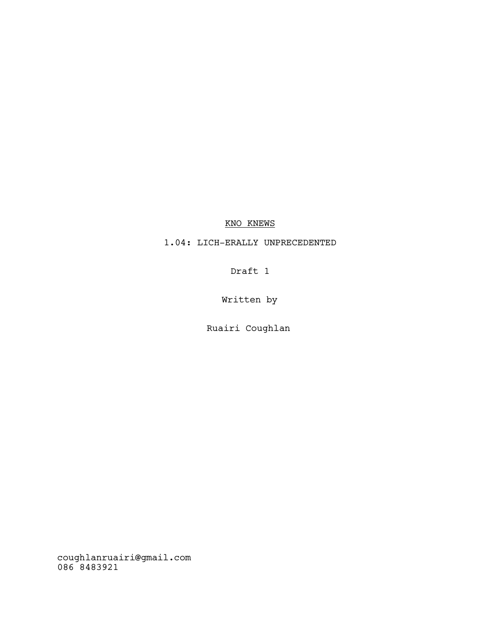# KNO KNEWS

# 1.04: LICH-ERALLY UNPRECEDENTED

Draft 1

Written by

Ruairi Coughlan

coughlanruairi@gmail.com 086 8483921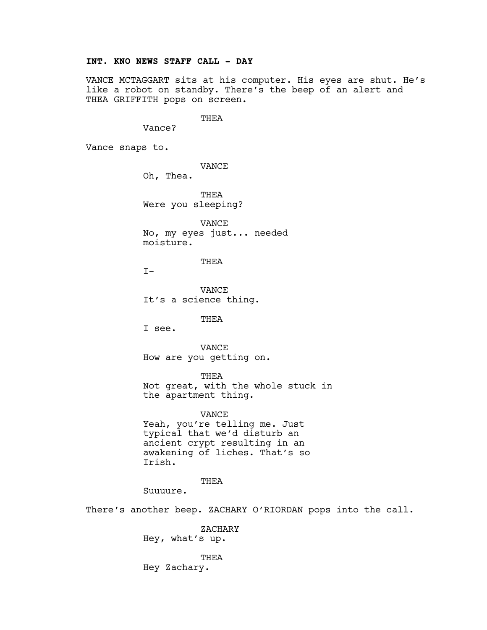# INT. KNO NEWS STAFF CALL - DAY

VANCE MCTAGGART sits at his computer. His eyes are shut. He's like a robot on standby. There's the beep of an alert and THEA GRIFFITH pops on screen.

THEA

Vance?

Vance snaps to.

VANCE

Oh, Thea.

THEA Were you sleeping?

VANCE No, my eyes just... needed moisture.

THEA

 $T-$ 

VANCE It's a science thing.

THEA

I see.

VANCE How are you getting on.

THEA

Not great, with the whole stuck in the apartment thing.

VANCE

Yeah, you're telling me. Just typical that we'd disturb an ancient crypt resulting in an awakening of liches. That's so Irish.

### THEA

Suuuure.

There's another beep. ZACHARY O'RIORDAN pops into the call.

ZACHARY Hey, what's up.

**THEA** Hey Zachary.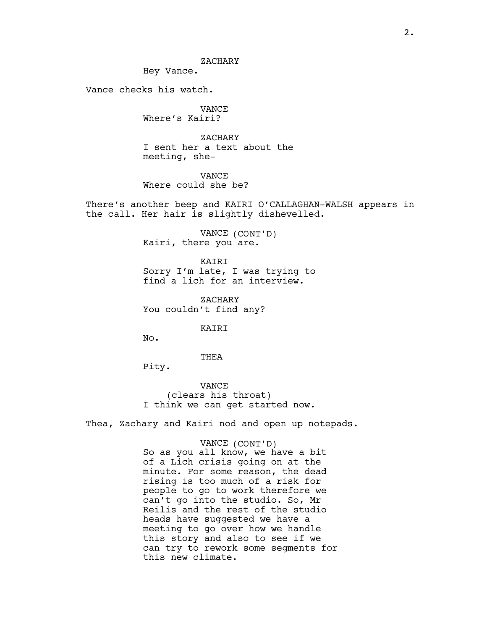Hey Vance.

Vance checks his watch.

VANCE Where's Kairi?

ZACHARY I sent her a text about the meeting, she-

VANCE Where could she be?

There's another beep and KAIRI O'CALLAGHAN-WALSH appears in the call. Her hair is slightly dishevelled.

> VANCE (CONT'D) Kairi, there you are.

KAIRI Sorry I'm late, I was trying to find a lich for an interview.

ZACHARY You couldn't find any?

KAIRI

No.

THEA

Pity.

VANCE (clears his throat) I think we can get started now.

Thea, Zachary and Kairi nod and open up notepads.

#### VANCE (CONT'D)

So as you all know, we have a bit of a Lich crisis going on at the minute. For some reason, the dead rising is too much of a risk for people to go to work therefore we can't go into the studio. So, Mr Reilis and the rest of the studio heads have suggested we have a meeting to go over how we handle this story and also to see if we can try to rework some segments for this new climate.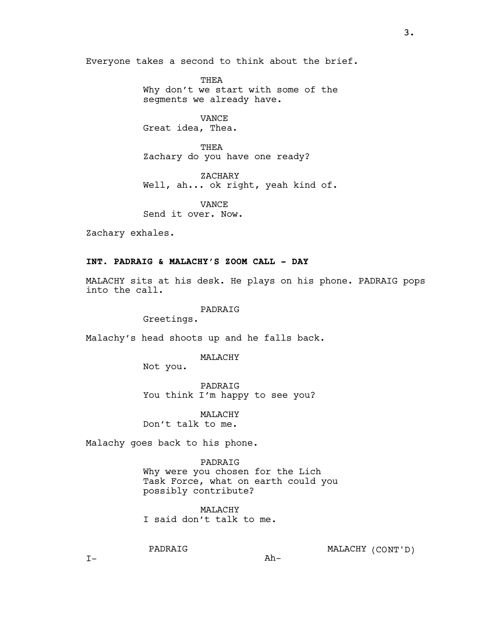Everyone takes a second to think about the brief.

THEA Why don't we start with some of the segments we already have.

VANCE Great idea, Thea.

THEA Zachary do you have one ready?

ZACHARY Well, ah... ok right, yeah kind of.

VANCE Send it over. Now.

Zachary exhales.

# INT. PADRAIG & MALACHY'S ZOOM CALL - DAY

MALACHY sits at his desk. He plays on his phone. PADRAIG pops into the call.

### PADRAIG

Greetings.

Malachy's head shoots up and he falls back.

### MALACHY

Not you.

PADRAIG You think I'm happy to see you?

MALACHY Don't talk to me.

Malachy goes back to his phone.

PADRAIG Why were you chosen for the Lich Task Force, what on earth could you possibly contribute?

Ah-

MALACHY I said don't talk to me.

PADRAIG

MALACHY (CONT'D)

 $I-$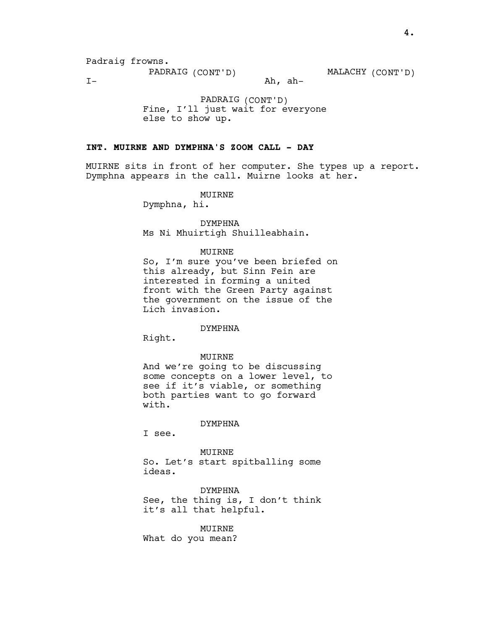PADRAIG (CONT'D) MALACHY (CONT'D)

 $I -$ 

Ah, ah-

PADRAIG (CONT'D) Fine, I'll just wait for everyone else to show up.

## INT. MUIRNE AND DYMPHNA'S ZOOM CALL - DAY

MUIRNE sits in front of her computer. She types up a report. Dymphna appears in the call. Muirne looks at her.

#### MUIRNE

Dymphna, hi.

DYMPHNA Ms Ni Mhuirtigh Shuilleabhain.

#### MUIRNE

So, I'm sure you've been briefed on this already, but Sinn Fein are interested in forming a united front with the Green Party against the government on the issue of the Lich invasion.

# DYMPHNA

Right.

#### MUIRNE

And we're going to be discussing some concepts on a lower level, to see if it's viable, or something both parties want to go forward with.

### DYMPHNA

I see.

#### MUIRNE

So. Let's start spitballing some ideas.

DYMPHNA See, the thing is, I don't think it's all that helpful.

#### MUIRNE

What do you mean?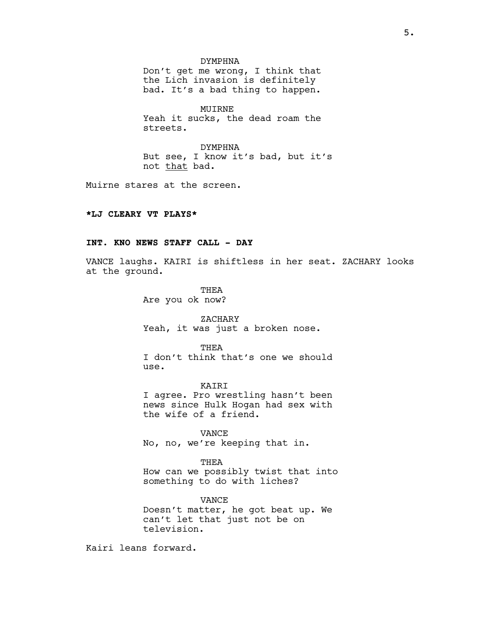#### DYMPHNA

Don't get me wrong, I think that the Lich invasion is definitely bad. It's a bad thing to happen.

MUIRNE Yeah it sucks, the dead roam the streets.

DYMPHNA But see, I know it's bad, but it's not that bad.

Muirne stares at the screen.

## \*LJ CLEARY VT PLAYS\*

# INT. KNO NEWS STAFF CALL - DAY

VANCE laughs. KAIRI is shiftless in her seat. ZACHARY looks at the ground.

> THEA Are you ok now?

ZACHARY Yeah, it was just a broken nose.

**THEA** I don't think that's one we should use.

KAIRI I agree. Pro wrestling hasn't been news since Hulk Hogan had sex with the wife of a friend.

VANCE No, no, we're keeping that in.

THEA How can we possibly twist that into something to do with liches?

VANCE Doesn't matter, he got beat up. We can't let that just not be on television.

Kairi leans forward.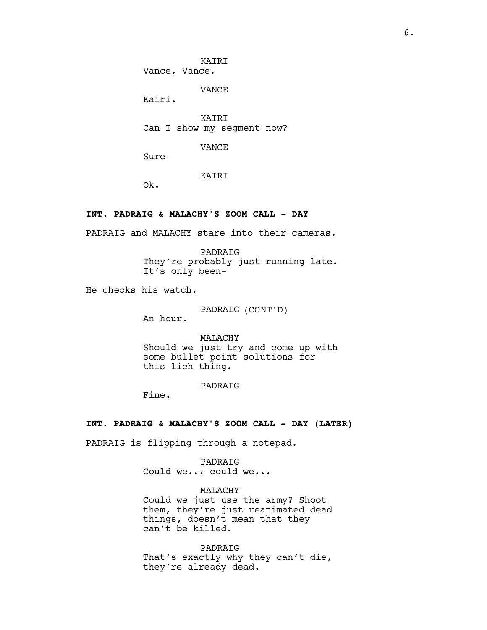KAIRI Vance, Vance.

VANCE

Kairi.

KAIRI Can I show my segment now?

VANCE

Sure-

# KAIRI

Ok.

# INT. PADRAIG & MALACHY'S ZOOM CALL - DAY

PADRAIG and MALACHY stare into their cameras.

PADRAIG They're probably just running late. It's only been-

He checks his watch.

PADRAIG (CONT'D)

An hour.

MALACHY Should we just try and come up with some bullet point solutions for this lich thing.

PADRAIG

Fine.

#### INT. PADRAIG & MALACHY'S ZOOM CALL - DAY (LATER)

PADRAIG is flipping through a notepad.

PADRAIG Could we... could we...

MALACHY Could we just use the army? Shoot them, they're just reanimated dead things, doesn't mean that they can't be killed.

PADRAIG That's exactly why they can't die, they're already dead.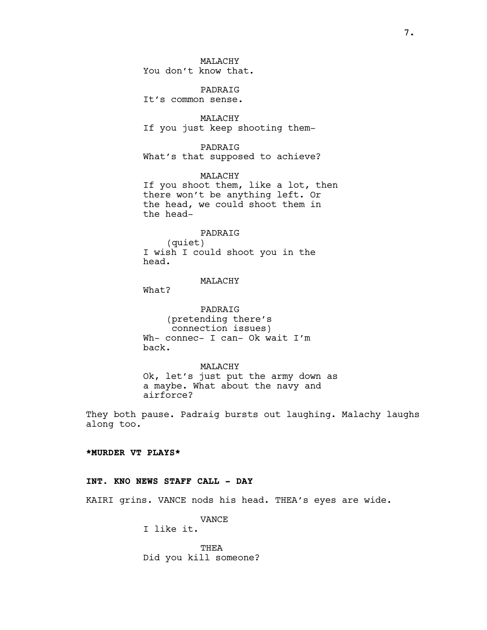MALACHY You don't know that.

PADRAIG It's common sense.

MALACHY If you just keep shooting them-

PADRAIG What's that supposed to achieve?

MALACHY If you shoot them, like a lot, then there won't be anything left. Or the head, we could shoot them in the head-

#### PADRAIG

(quiet) I wish I could shoot you in the head.

# MALACHY

What?

PADRAIG (pretending there's connection issues) Wh- connec- I can- Ok wait I'm back.

MALACHY Ok, let's just put the army down as a maybe. What about the navy and airforce?

They both pause. Padraig bursts out laughing. Malachy laughs along too.

## \*MURDER VT PLAYS\*

## INT. KNO NEWS STAFF CALL - DAY

KAIRI grins. VANCE nods his head. THEA's eyes are wide.

VANCE

I like it.

THEA Did you kill someone?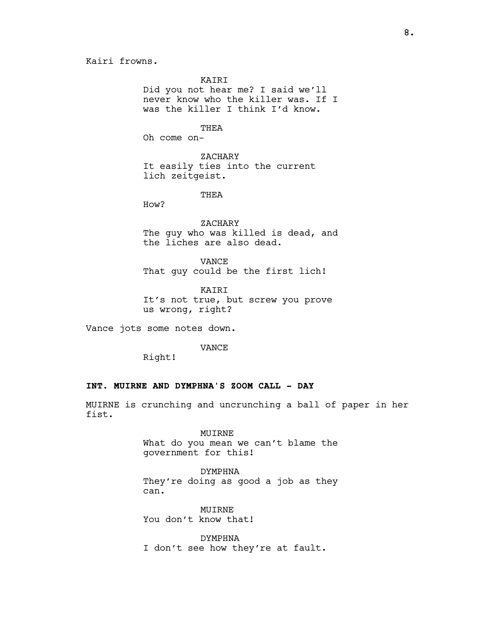Kairi frowns.

KAIRI

Did you not hear me? I said we'll never know who the killer was. If I was the killer I think I'd know.

THEA

Oh come on-

ZACHARY It easily ties into the current lich zeitgeist.

THEA

How?

ZACHARY The guy who was killed is dead, and the liches are also dead.

VANCE That guy could be the first lich!

KAIRI It's not true, but screw you prove us wrong, right?

Vance jots some notes down.

VANCE

Right!

# INT. MUIRNE AND DYMPHNA'S ZOOM CALL - DAY

MUIRNE is crunching and uncrunching a ball of paper in her fist.

### MUIRNE

What do you mean we can't blame the government for this!

DYMPHNA They're doing as good a job as they can.

MUIRNE You don't know that!

DYMPHNA I don't see how they're at fault.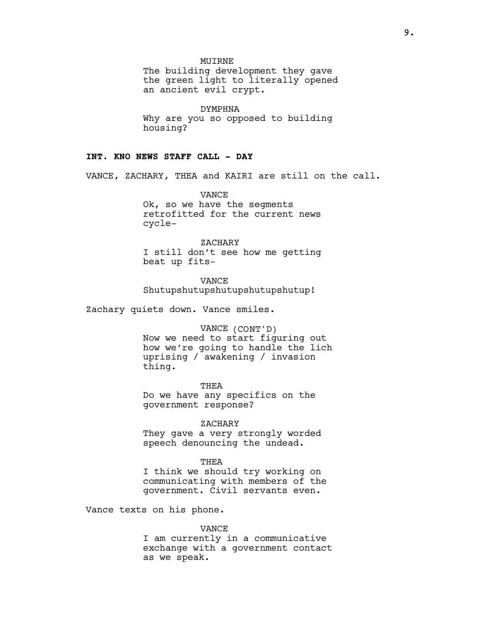MUIRNE

The building development they gave the green light to literally opened an ancient evil crypt.

DYMPHNA Why are you so opposed to building housing?

#### INT. KNO NEWS STAFF CALL - DAY

VANCE, ZACHARY, THEA and KAIRI are still on the call.

VANCE Ok, so we have the segments retrofitted for the current news cycle-

ZACHARY I still don't see how me getting beat up fits-

VANCE Shutupshutupshutupshutupshutup!

Zachary quiets down. Vance smiles.

#### VANCE (CONT'D)

Now we need to start figuring out how we're going to handle the lich uprising / awakening / invasion thing.

THEA Do we have any specifics on the government response?

ZACHARY

They gave a very strongly worded speech denouncing the undead.

#### THEA

I think we should try working on communicating with members of the government. Civil servants even.

Vance texts on his phone.

#### VANCE

I am currently in a communicative exchange with a government contact as we speak.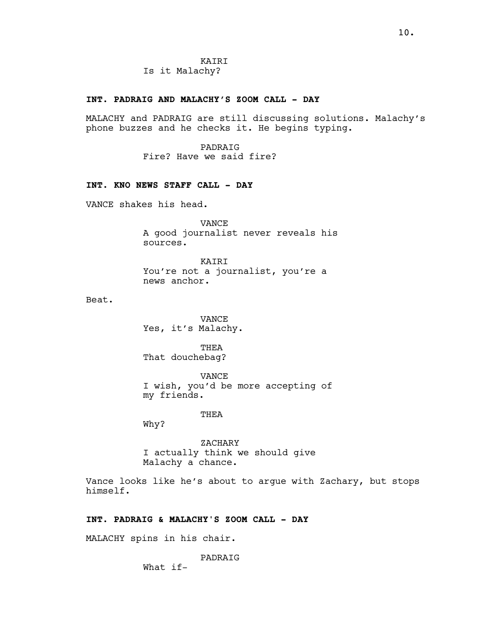KAIRI Is it Malachy?

### INT. PADRAIG AND MALACHY'S ZOOM CALL - DAY

MALACHY and PADRAIG are still discussing solutions. Malachy's phone buzzes and he checks it. He begins typing.

> PADRAIG Fire? Have we said fire?

# INT. KNO NEWS STAFF CALL - DAY

VANCE shakes his head.

VANCE A good journalist never reveals his sources.

KAIRI You're not a journalist, you're a news anchor.

Beat.

VANCE Yes, it's Malachy.

THEA That douchebag?

VANCE I wish, you'd be more accepting of my friends.

#### THEA

Why?

ZACHARY I actually think we should give Malachy a chance.

Vance looks like he's about to argue with Zachary, but stops himself.

## INT. PADRAIG & MALACHY'S ZOOM CALL - DAY

MALACHY spins in his chair.

# PADRAIG

What if-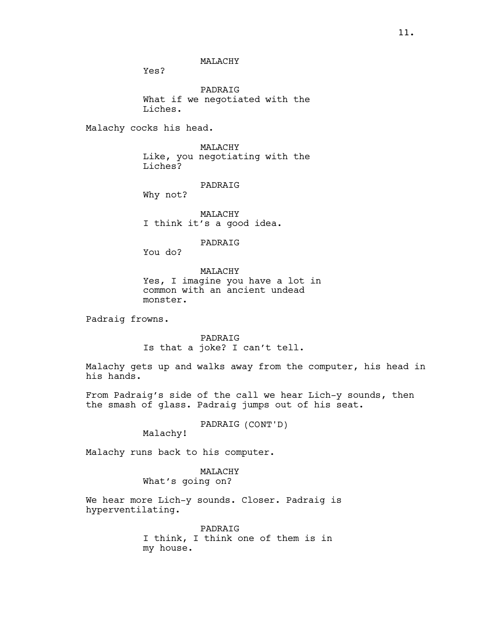MALACHY

Yes?

PADRAIG What if we negotiated with the Liches.

Malachy cocks his head.

MALACHY Like, you negotiating with the Liches?

PADRAIG

Why not?

MALACHY I think it's a good idea.

PADRAIG

You do?

MALACHY Yes, I imagine you have a lot in common with an ancient undead

monster.

Padraig frowns.

PADRAIG Is that a joke? I can't tell.

Malachy gets up and walks away from the computer, his head in his hands.

From Padraig's side of the call we hear Lich-y sounds, then the smash of glass. Padraig jumps out of his seat.

PADRAIG (CONT'D)

Malachy!

Malachy runs back to his computer.

MALACHY What's going on?

We hear more Lich-y sounds. Closer. Padraig is hyperventilating.

> PADRAIG I think, I think one of them is in my house.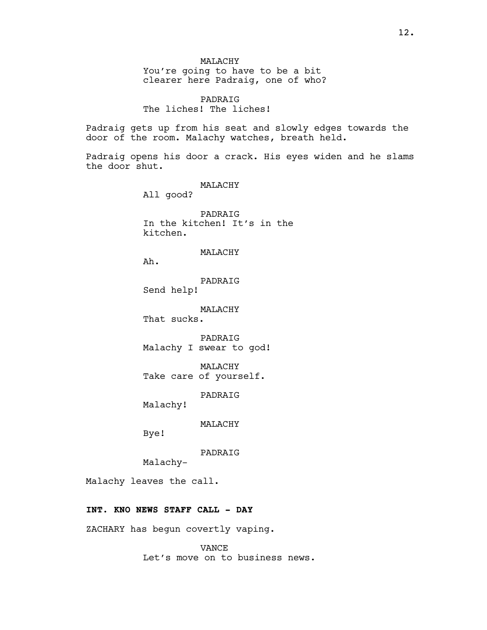MALACHY You're going to have to be a bit clearer here Padraig, one of who?

PADRAIG The liches! The liches!

Padraig gets up from his seat and slowly edges towards the door of the room. Malachy watches, breath held.

Padraig opens his door a crack. His eyes widen and he slams the door shut.

MALACHY

All good?

PADRAIG In the kitchen! It's in the kitchen.

## MALACHY

Ah.

PADRAIG Send help!

MALACHY

That sucks.

PADRAIG Malachy I swear to god!

MALACHY Take care of yourself.

PADRAIG

Malachy!

MALACHY

Bye!

PADRAIG

Malachy-

Malachy leaves the call.

# INT. KNO NEWS STAFF CALL - DAY

ZACHARY has begun covertly vaping.

VANCE Let's move on to business news.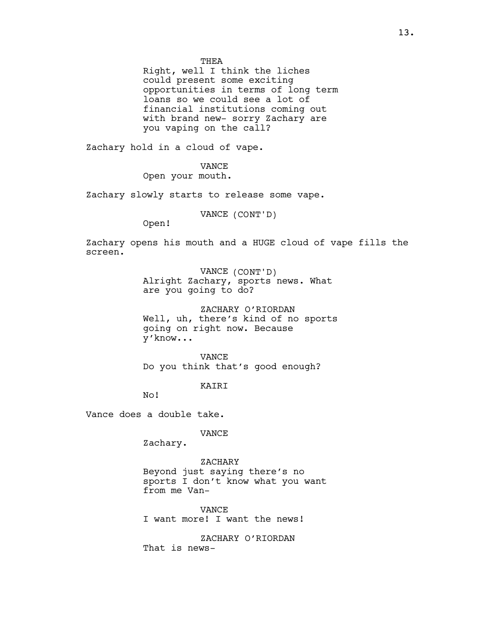THEA

Right, well I think the liches could present some exciting opportunities in terms of long term loans so we could see a lot of financial institutions coming out with brand new- sorry Zachary are you vaping on the call?

Zachary hold in a cloud of vape.

VANCE

Open your mouth.

Zachary slowly starts to release some vape.

VANCE (CONT'D)

Open!

Zachary opens his mouth and a HUGE cloud of vape fills the screen.

> VANCE (CONT'D) Alright Zachary, sports news. What are you going to do?

ZACHARY O'RIORDAN Well, uh, there's kind of no sports going on right now. Because y'know...

VANCE Do you think that's good enough?

KAIRI

No!

Vance does a double take.

VANCE

Zachary.

ZACHARY Beyond just saying there's no sports I don't know what you want from me Van-

VANCE I want more! I want the news!

ZACHARY O'RIORDAN That is news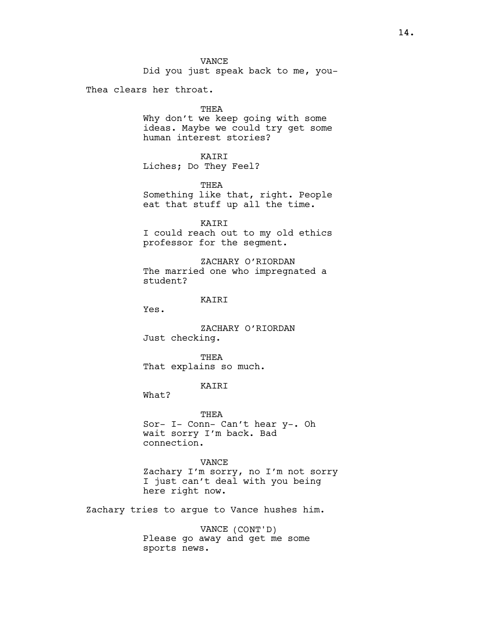Did you just speak back to me, you-

Thea clears her throat.

#### THEA

Why don't we keep going with some ideas. Maybe we could try get some human interest stories?

## KAIRI

Liches; Do They Feel?

THEA

Something like that, right. People eat that stuff up all the time.

KAIRI

I could reach out to my old ethics professor for the segment.

ZACHARY O'RIORDAN The married one who impregnated a student?

## KAIRI

Yes.

ZACHARY O'RIORDAN Just checking.

THEA That explains so much.

# KAIRI

What?

THEA Sor- I- Conn- Can't hear y-. Oh wait sorry I'm back. Bad connection.

VANCE Zachary I'm sorry, no I'm not sorry I just can't deal with you being here right now.

Zachary tries to argue to Vance hushes him.

VANCE (CONT'D) Please go away and get me some sports news.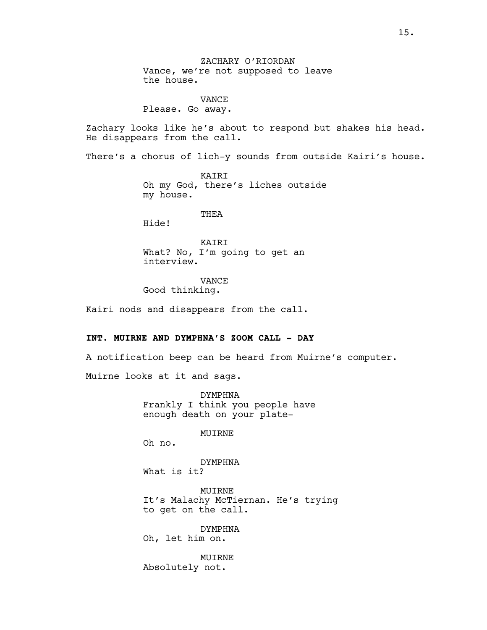ZACHARY O'RIORDAN Vance, we're not supposed to leave the house.

VANCE Please. Go away.

Zachary looks like he's about to respond but shakes his head. He disappears from the call.

There's a chorus of lich-y sounds from outside Kairi's house.

KAIRI Oh my God, there's liches outside my house.

THEA

Hide!

**KATRT** What? No, I'm going to get an interview.

VANCE

Good thinking.

Kairi nods and disappears from the call.

## INT. MUIRNE AND DYMPHNA'S ZOOM CALL - DAY

A notification beep can be heard from Muirne's computer.

Muirne looks at it and sags.

DYMPHNA Frankly I think you people have enough death on your plate-

MUIRNE

Oh no.

DYMPHNA What is it?

MUIRNE It's Malachy McTiernan. He's trying to get on the call.

DYMPHNA Oh, let him on.

MUIRNE Absolutely not.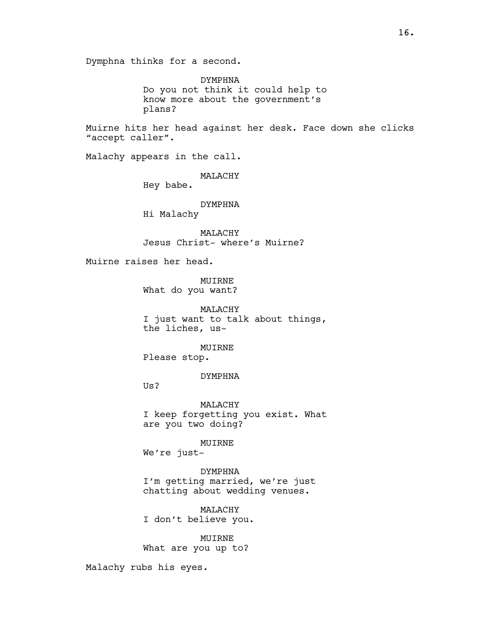Dymphna thinks for a second.

DYMPHNA Do you not think it could help to know more about the government's plans?

Muirne hits her head against her desk. Face down she clicks "accept caller".

Malachy appears in the call.

MALACHY

Hey babe.

DYMPHNA

Hi Malachy

MALACHY Jesus Christ- where's Muirne?

Muirne raises her head.

MUIRNE What do you want?

MALACHY I just want to talk about things, the liches, us-

MUIRNE Please stop.

DYMPHNA

Us?

MALACHY I keep forgetting you exist. What are you two doing?

MUIRNE

We're just-

DYMPHNA I'm getting married, we're just chatting about wedding venues.

MALACHY I don't believe you.

MUIRNE What are you up to?

Malachy rubs his eyes.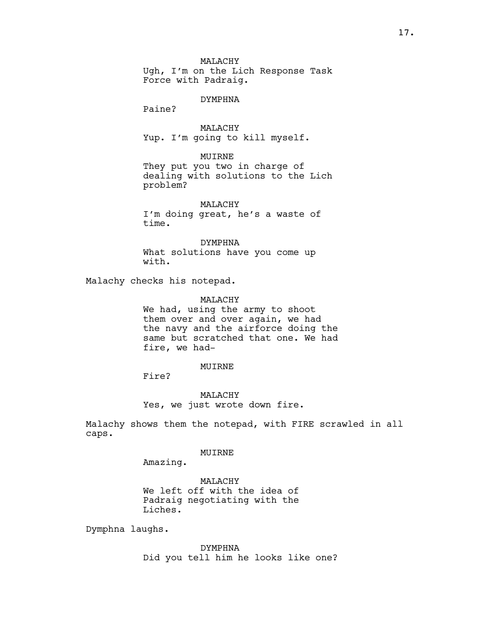MALACHY Ugh, I'm on the Lich Response Task Force with Padraig.

#### DYMPHNA

Paine?

MALACHY Yup. I'm going to kill myself.

#### MUIRNE

They put you two in charge of dealing with solutions to the Lich problem?

MALACHY I'm doing great, he's a waste of time.

DYMPHNA What solutions have you come up with.

Malachy checks his notepad.

#### MALACHY

We had, using the army to shoot them over and over again, we had the navy and the airforce doing the same but scratched that one. We had fire, we had-

#### MUIRNE

Fire?

MALACHY Yes, we just wrote down fire.

Malachy shows them the notepad, with FIRE scrawled in all caps.

## MUIRNE

Amazing.

MALACHY We left off with the idea of Padraig negotiating with the Liches.

Dymphna laughs.

DYMPHNA Did you tell him he looks like one?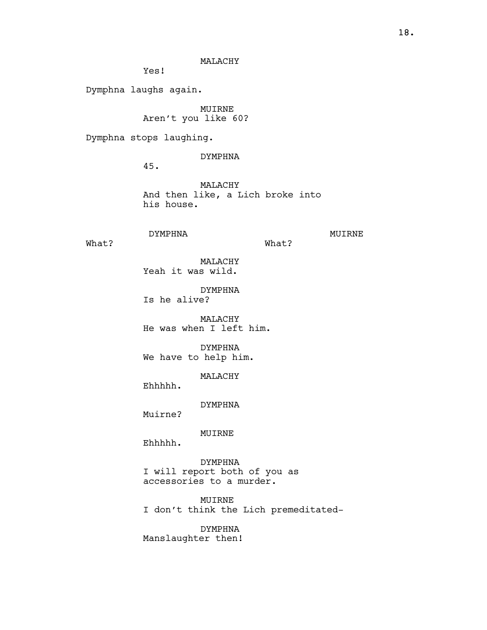# MALACHY

Yes!

Dymphna laughs again.

MUIRNE Aren't you like 60?

Dymphna stops laughing.

DYMPHNA

45.

MALACHY And then like, a Lich broke into his house.

What?

# DYMPHNA

MUIRNE

What?

MALACHY Yeah it was wild.

DYMPHNA Is he alive?

MALACHY He was when I left him.

DYMPHNA We have to help him.

MALACHY

Ehhhhh.

DYMPHNA

Muirne?

MUIRNE

Ehhhhh.

DYMPHNA I will report both of you as accessories to a murder.

MUIRNE

I don't think the Lich premeditated-

DYMPHNA

Manslaughter then!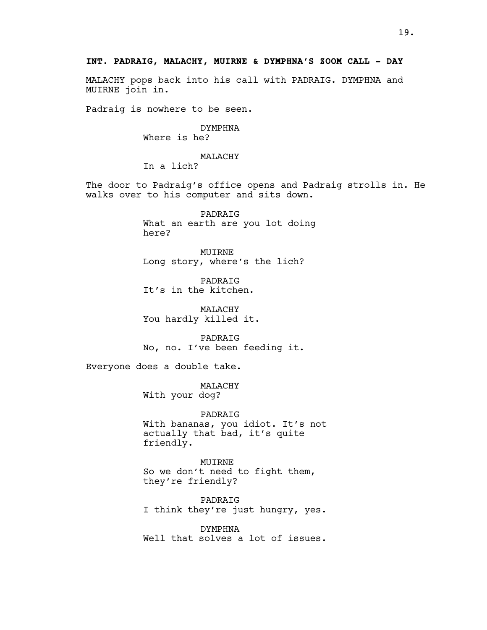MALACHY pops back into his call with PADRAIG. DYMPHNA and MUIRNE join in.

Padraig is nowhere to be seen.

DYMPHNA Where is he?

MALACHY In a lich?

The door to Padraig's office opens and Padraig strolls in. He walks over to his computer and sits down.

> PADRAIG What an earth are you lot doing here?

MUIRNE Long story, where's the lich?

PADRAIG It's in the kitchen.

MALACHY You hardly killed it.

PADRAIG No, no. I've been feeding it.

Everyone does a double take.

MALACHY With your dog?

PADRAIG With bananas, you idiot. It's not actually that bad, it's quite friendly.

MUIRNE So we don't need to fight them, they're friendly?

PADRAIG I think they're just hungry, yes.

DYMPHNA Well that solves a lot of issues.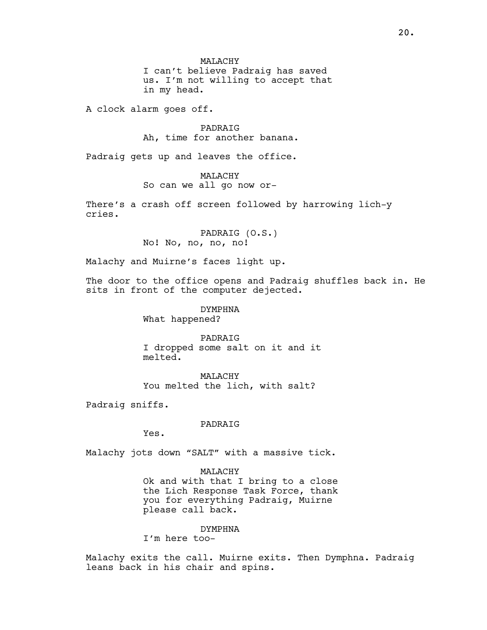MALACHY I can't believe Padraig has saved us. I'm not willing to accept that in my head.

A clock alarm goes off.

PADRAIG Ah, time for another banana.

Padraig gets up and leaves the office.

MALACHY So can we all go now or-

There's a crash off screen followed by harrowing lich-y cries.

> PADRAIG (O.S.) No! No, no, no, no!

Malachy and Muirne's faces light up.

The door to the office opens and Padraig shuffles back in. He sits in front of the computer dejected.

DYMPHNA

What happened?

PADRAIG I dropped some salt on it and it melted.

MALACHY You melted the lich, with salt?

Padraig sniffs.

PADRAIG

Yes.

Malachy jots down "SALT" with a massive tick.

#### MALACHY

Ok and with that I bring to a close the Lich Response Task Force, thank you for everything Padraig, Muirne please call back.

## DYMPHNA

I'm here too-

Malachy exits the call. Muirne exits. Then Dymphna. Padraig leans back in his chair and spins.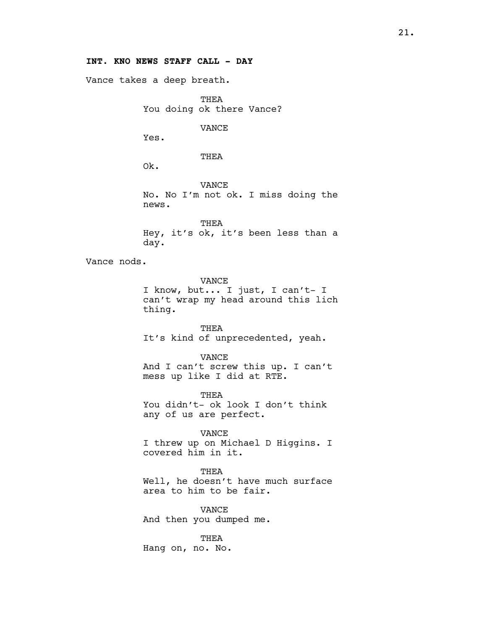# INT. KNO NEWS STAFF CALL - DAY

Vance takes a deep breath.

THEA You doing ok there Vance?

VANCE

Yes.

THEA

Ok.

thing.

VANCE No. No I'm not ok. I miss doing the news.

THEA Hey, it's ok, it's been less than a day.

Vance nods.

VANCE I know, but... I just, I can't- I can't wrap my head around this lich

THEA

It's kind of unprecedented, yeah.

VANCE And I can't screw this up. I can't mess up like I did at RTE.

THEA You didn't- ok look I don't think any of us are perfect.

VANCE

I threw up on Michael D Higgins. I covered him in it.

THEA

Well, he doesn't have much surface area to him to be fair.

VANCE And then you dumped me.

THEA Hang on, no. No.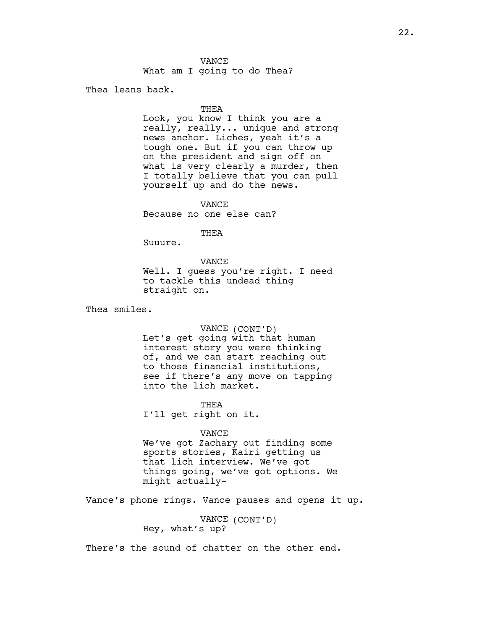What am I going to do Thea?

Thea leans back.

#### THEA

Look, you know I think you are a really, really... unique and strong news anchor. Liches, yeah it's a tough one. But if you can throw up on the president and sign off on what is very clearly a murder, then I totally believe that you can pull yourself up and do the news.

VANCE

Because no one else can?

THEA

Suuure.

VANCE

Well. I guess you're right. I need to tackle this undead thing straight on.

Thea smiles.

#### VANCE (CONT'D)

Let's get going with that human interest story you were thinking of, and we can start reaching out to those financial institutions, see if there's any move on tapping into the lich market.

THEA I'll get right on it.

#### VANCE

We've got Zachary out finding some sports stories, Kairi getting us that lich interview. We've got things going, we've got options. We might actually-

Vance's phone rings. Vance pauses and opens it up.

VANCE (CONT'D) Hey, what's up?

There's the sound of chatter on the other end.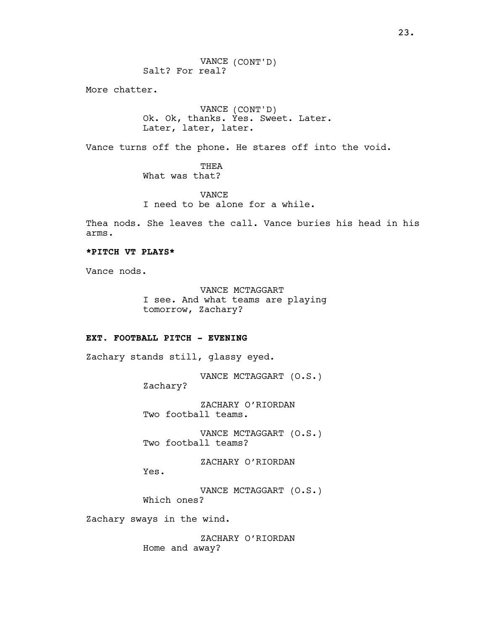VANCE (CONT'D) Salt? For real?

More chatter.

VANCE (CONT'D) Ok. Ok, thanks. Yes. Sweet. Later. Later, later, later.

Vance turns off the phone. He stares off into the void.

THEA What was that?

VANCE I need to be alone for a while.

Thea nods. She leaves the call. Vance buries his head in his arms.

# \*PITCH VT PLAYS\*

Vance nods.

VANCE MCTAGGART I see. And what teams are playing tomorrow, Zachary?

## EXT. FOOTBALL PITCH - EVENING

Zachary stands still, glassy eyed.

VANCE MCTAGGART (O.S.) Zachary?

ZACHARY O'RIORDAN Two football teams.

VANCE MCTAGGART (O.S.) Two football teams?

ZACHARY O'RIORDAN

Yes.

VANCE MCTAGGART (O.S.) Which ones?

Zachary sways in the wind.

ZACHARY O'RIORDAN Home and away?